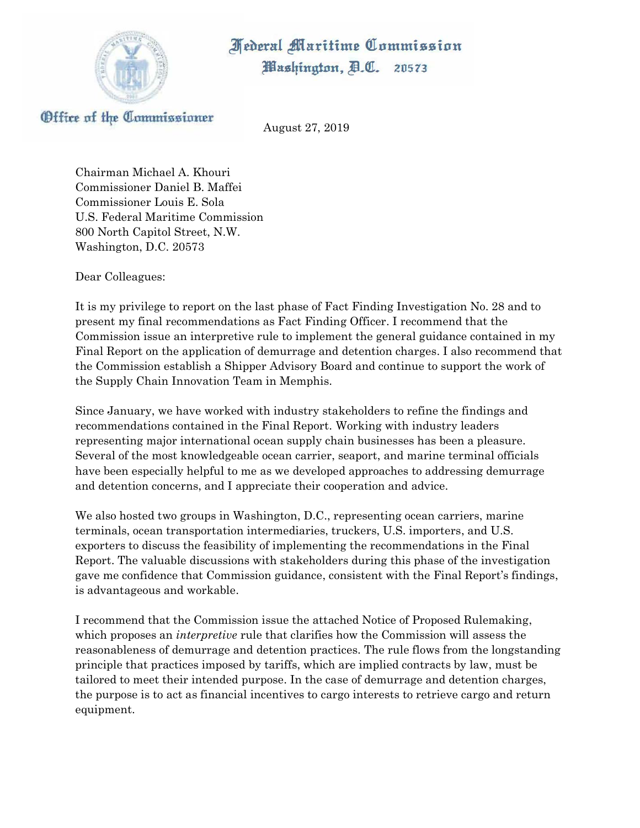*<u>Mederal Maritime Commission</u>* 



Washington, A.C. 20573

Office of the Commissioner

August 27, 2019

Chairman Michael A. Khouri Commissioner Daniel B. Maffei Commissioner Louis E. Sola U.S. Federal Maritime Commission 800 North Capitol Street, N.W. Washington, D.C. 20573

Dear Colleagues:

It is my privilege to report on the last phase of Fact Finding Investigation No. 28 and to present my final recommendations as Fact Finding Officer. I recommend that the Commission issue an interpretive rule to implement the general guidance contained in my Final Report on the application of demurrage and detention charges. I also recommend that the Commission establish a Shipper Advisory Board and continue to support the work of the Supply Chain Innovation Team in Memphis.

Since January, we have worked with industry stakeholders to refine the findings and recommendations contained in the Final Report. Working with industry leaders representing major international ocean supply chain businesses has been a pleasure. Several of the most knowledgeable ocean carrier, seaport, and marine terminal officials have been especially helpful to me as we developed approaches to addressing demurrage and detention concerns, and I appreciate their cooperation and advice.

We also hosted two groups in Washington, D.C., representing ocean carriers, marine terminals, ocean transportation intermediaries, truckers, U.S. importers, and U.S. exporters to discuss the feasibility of implementing the recommendations in the Final Report. The valuable discussions with stakeholders during this phase of the investigation gave me confidence that Commission guidance, consistent with the Final Report's findings, is advantageous and workable.

I recommend that the Commission issue the attached Notice of Proposed Rulemaking, which proposes an *interpretive* rule that clarifies how the Commission will assess the reasonableness of demurrage and detention practices. The rule flows from the longstanding principle that practices imposed by tariffs, which are implied contracts by law, must be tailored to meet their intended purpose. In the case of demurrage and detention charges, the purpose is to act as financial incentives to cargo interests to retrieve cargo and return equipment.